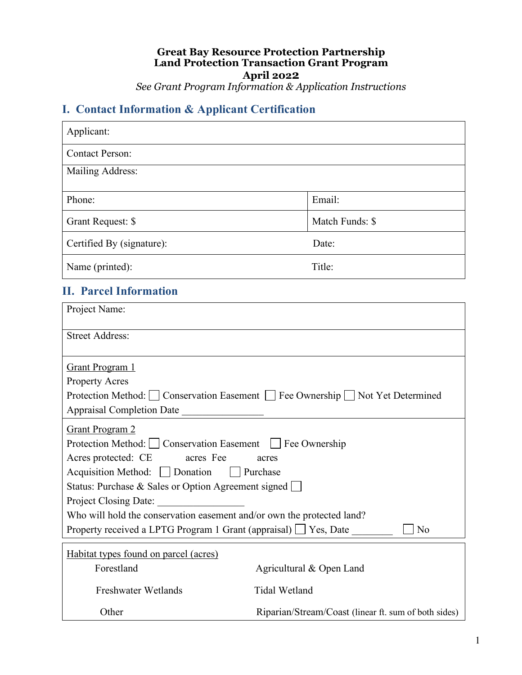#### **Great Bay Resource Protection Partnership Land Protection Transaction Grant Program April 2022** *See Grant Program Information & Application Instructions*

# **I. Contact Information & Applicant Certification**

| Applicant:                |                 |
|---------------------------|-----------------|
| <b>Contact Person:</b>    |                 |
| Mailing Address:          |                 |
| Phone:                    | Email:          |
| Grant Request: \$         | Match Funds: \$ |
| Certified By (signature): | Date:           |
| Name (printed):           | Title:          |
| -- -                      |                 |

#### **II. Parcel Information**

| Project Name:                                                                                                                                                                                                                                                                                                                                                                                                                   |                                                                                 |  |
|---------------------------------------------------------------------------------------------------------------------------------------------------------------------------------------------------------------------------------------------------------------------------------------------------------------------------------------------------------------------------------------------------------------------------------|---------------------------------------------------------------------------------|--|
| <b>Street Address:</b>                                                                                                                                                                                                                                                                                                                                                                                                          |                                                                                 |  |
| <b>Grant Program 1</b><br><b>Property Acres</b>                                                                                                                                                                                                                                                                                                                                                                                 | Protection Method: ◯ Conservation Easement ◯ Fee Ownership ◯ Not Yet Determined |  |
| <b>Grant Program 2</b><br>Protection Method:     Conservation Easement       Fee Ownership<br>Acres protected: CE acres Fee acres<br>Acquisition Method: Donation Purchase<br>Status: Purchase & Sales or Option Agreement signed<br>Project Closing Date:<br>Who will hold the conservation easement and/or own the protected land?<br>Property received a LPTG Program 1 Grant (appraisal) $\Box$ Yes, Date<br>N <sub>0</sub> |                                                                                 |  |
| Habitat types found on parcel (acres)<br>Forestland                                                                                                                                                                                                                                                                                                                                                                             | Agricultural & Open Land                                                        |  |
| <b>Freshwater Wetlands</b>                                                                                                                                                                                                                                                                                                                                                                                                      | <b>Tidal Wetland</b>                                                            |  |
| Other                                                                                                                                                                                                                                                                                                                                                                                                                           | Riparian/Stream/Coast (linear ft. sum of both sides)                            |  |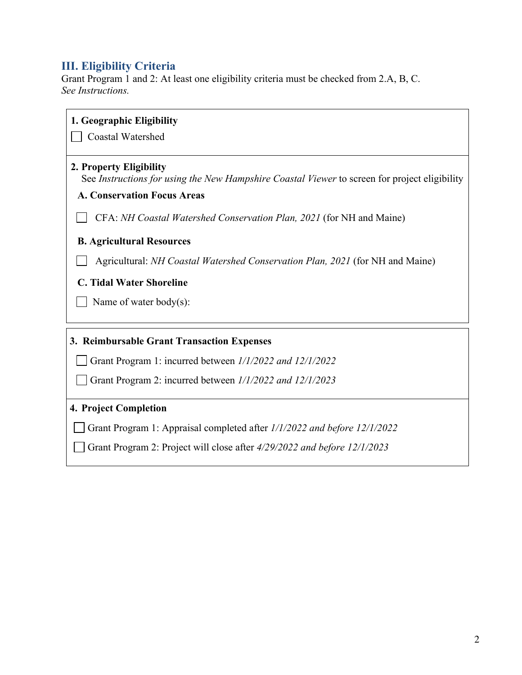## **III. Eligibility Criteria**

Grant Program 1 and 2: At least one eligibility criteria must be checked from 2.A, B, C. *See Instructions.* 

| 1. Geographic Eligibility                                                                                                |
|--------------------------------------------------------------------------------------------------------------------------|
| <b>Coastal Watershed</b>                                                                                                 |
| 2. Property Eligibility<br>See Instructions for using the New Hampshire Coastal Viewer to screen for project eligibility |
| <b>A. Conservation Focus Areas</b>                                                                                       |
| CFA: NH Coastal Watershed Conservation Plan, 2021 (for NH and Maine)                                                     |
| <b>B. Agricultural Resources</b>                                                                                         |
| Agricultural: <i>NH Coastal Watershed Conservation Plan, 2021</i> (for NH and Maine)                                     |
| <b>C. Tidal Water Shoreline</b>                                                                                          |
| Name of water body(s):                                                                                                   |
| 3. Reimbursable Grant Transaction Expenses                                                                               |
| Grant Program 1: incurred between 1/1/2022 and 12/1/2022                                                                 |
| Grant Program 2: incurred between 1/1/2022 and 12/1/2023                                                                 |
| 4. Project Completion                                                                                                    |
| Grant Program 1: Appraisal completed after 1/1/2022 and before 12/1/2022                                                 |
| Grant Program 2: Project will close after 4/29/2022 and before 12/1/2023                                                 |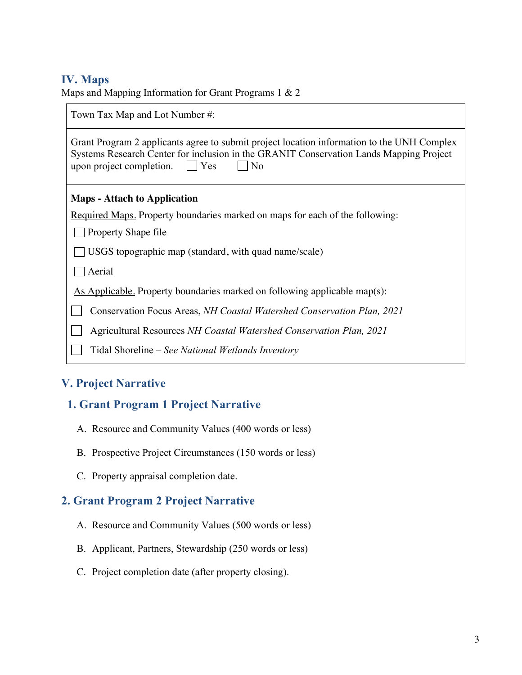### **IV. Maps**

Maps and Mapping Information for Grant Programs 1 & 2

| Town Tax Map and Lot Number #:                                                                                                                                                                                                               |  |  |
|----------------------------------------------------------------------------------------------------------------------------------------------------------------------------------------------------------------------------------------------|--|--|
| Grant Program 2 applicants agree to submit project location information to the UNH Complex<br>Systems Research Center for inclusion in the GRANIT Conservation Lands Mapping Project<br>$\vert \vert$ Yes<br> No<br>upon project completion. |  |  |
| <b>Maps</b> - Attach to Application                                                                                                                                                                                                          |  |  |
| Required Maps. Property boundaries marked on maps for each of the following:                                                                                                                                                                 |  |  |
| Property Shape file                                                                                                                                                                                                                          |  |  |
| USGS topographic map (standard, with quad name/scale)                                                                                                                                                                                        |  |  |
| Aerial                                                                                                                                                                                                                                       |  |  |
| As Applicable. Property boundaries marked on following applicable map(s):                                                                                                                                                                    |  |  |
| Conservation Focus Areas, NH Coastal Watershed Conservation Plan, 2021                                                                                                                                                                       |  |  |
| Agricultural Resources NH Coastal Watershed Conservation Plan, 2021                                                                                                                                                                          |  |  |
| Tidal Shoreline – See National Wetlands Inventory                                                                                                                                                                                            |  |  |

# **V. Project Narrative**

## **1. Grant Program 1 Project Narrative**

- A. Resource and Community Values (400 words or less)
- B. Prospective Project Circumstances (150 words or less)
- C. Property appraisal completion date.

## **2. Grant Program 2 Project Narrative**

- A. Resource and Community Values (500 words or less)
- B. Applicant, Partners, Stewardship (250 words or less)
- C. Project completion date (after property closing).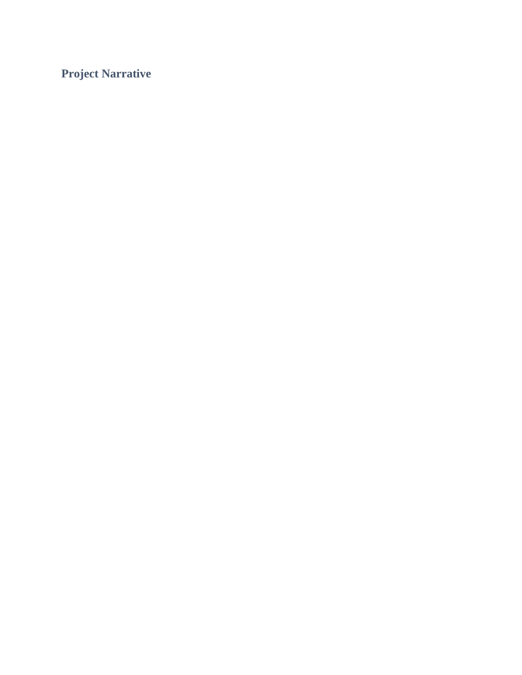**Project Narrative**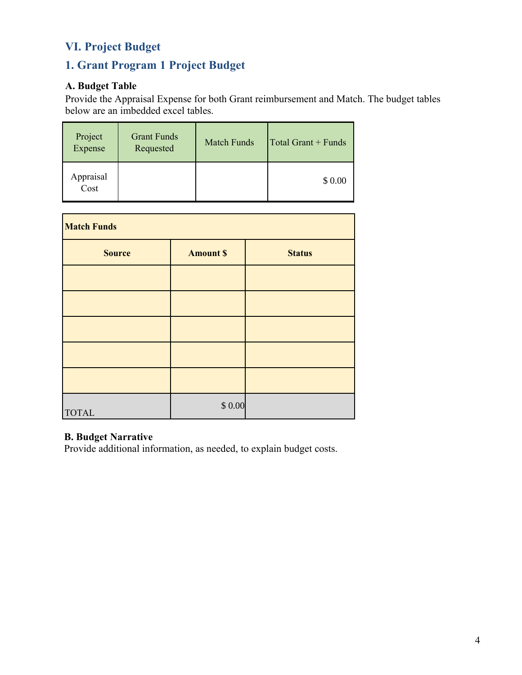# **VI. Project Budget**

# **1. Grant Program 1 Project Budget**

## **A. Budget Table**

Provide the Appraisal Expense for both Grant reimbursement and Match. The budget tables below are an imbedded excel tables.

| Project<br>Expense | <b>Grant Funds</b><br>Requested | <b>Match Funds</b> | Total Grant + Funds |
|--------------------|---------------------------------|--------------------|---------------------|
| Appraisal<br>Cost  |                                 |                    | \$0.00              |

| <b>Match Funds</b> |                 |               |  |
|--------------------|-----------------|---------------|--|
| <b>Source</b>      | <b>Amount S</b> | <b>Status</b> |  |
|                    |                 |               |  |
|                    |                 |               |  |
|                    |                 |               |  |
|                    |                 |               |  |
|                    |                 |               |  |
| <b>TOTAL</b>       | \$0.00          |               |  |

#### **B. Budget Narrative**

Provide additional information, as needed, to explain budget costs.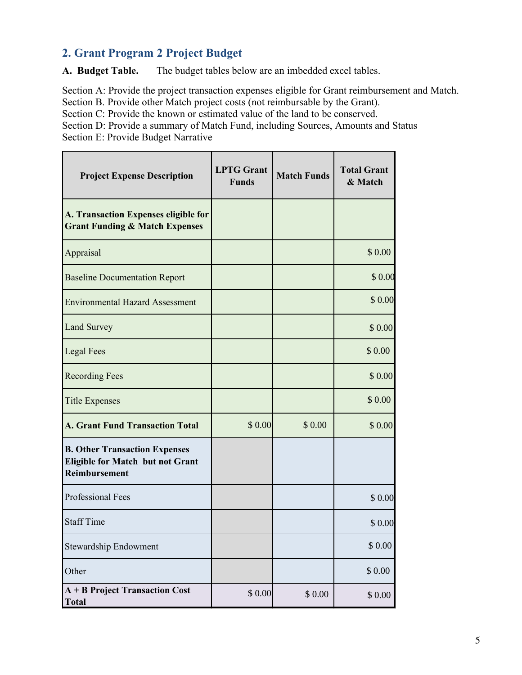## **2. Grant Program 2 Project Budget**

**A. Budget Table.** The budget tables below are an imbedded excel tables.

Section A: Provide the project transaction expenses eligible for Grant reimbursement and Match. Section B. Provide other Match project costs (not reimbursable by the Grant).

Section C: Provide the known or estimated value of the land to be conserved.

Section D: Provide a summary of Match Fund, including Sources, Amounts and Status Section E: Provide Budget Narrative

| <b>Project Expense Description</b>                                                                      | <b>LPTG</b> Grant<br><b>Funds</b> | <b>Match Funds</b> | <b>Total Grant</b><br>& Match |
|---------------------------------------------------------------------------------------------------------|-----------------------------------|--------------------|-------------------------------|
| A. Transaction Expenses eligible for<br><b>Grant Funding &amp; Match Expenses</b>                       |                                   |                    |                               |
| Appraisal                                                                                               |                                   |                    | \$0.00                        |
| <b>Baseline Documentation Report</b>                                                                    |                                   |                    | \$0.00                        |
| <b>Environmental Hazard Assessment</b>                                                                  |                                   |                    | \$0.00                        |
| <b>Land Survey</b>                                                                                      |                                   |                    | \$0.00                        |
| <b>Legal Fees</b>                                                                                       |                                   |                    | \$0.00                        |
| <b>Recording Fees</b>                                                                                   |                                   |                    | \$0.00                        |
| <b>Title Expenses</b>                                                                                   |                                   |                    | \$0.00                        |
| <b>A. Grant Fund Transaction Total</b>                                                                  | \$0.00                            | \$0.00             | \$0.00                        |
| <b>B. Other Transaction Expenses</b><br><b>Eligible for Match but not Grant</b><br><b>Reimbursement</b> |                                   |                    |                               |
| <b>Professional Fees</b>                                                                                |                                   |                    | \$0.00                        |
| <b>Staff Time</b>                                                                                       |                                   |                    | \$0.00                        |
| <b>Stewardship Endowment</b>                                                                            |                                   |                    | \$0.00                        |
| Other                                                                                                   |                                   |                    | \$ 0.00                       |
| A + B Project Transaction Cost<br><b>Total</b>                                                          | \$0.00                            | \$0.00             | \$0.00                        |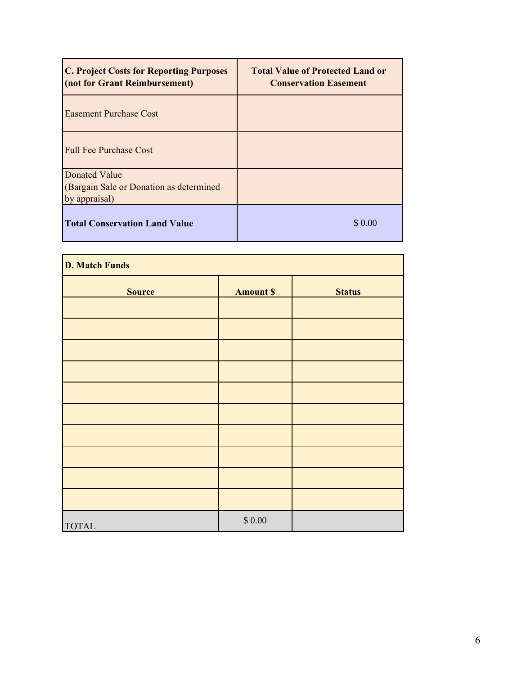| <b>C. Project Costs for Reporting Purposes</b><br>(not for Grant Reimbursement) | <b>Total Value of Protected Land or</b><br><b>Conservation Easement</b> |
|---------------------------------------------------------------------------------|-------------------------------------------------------------------------|
| <b>Easement Purchase Cost</b>                                                   |                                                                         |
| <b>Full Fee Purchase Cost</b>                                                   |                                                                         |
| Donated Value<br>(Bargain Sale or Donation as determined<br>by appraisal)       |                                                                         |
| <b>Total Conservation Land Value</b>                                            | \$ 0.00                                                                 |

| <b>D. Match Funds</b> |                 |               |  |
|-----------------------|-----------------|---------------|--|
| <b>Source</b>         | <b>Amount S</b> | <b>Status</b> |  |
|                       |                 |               |  |
|                       |                 |               |  |
|                       |                 |               |  |
|                       |                 |               |  |
|                       |                 |               |  |
|                       |                 |               |  |
|                       |                 |               |  |
|                       |                 |               |  |
|                       |                 |               |  |
|                       |                 |               |  |
| <b>TOTAL</b>          | $\$$ $0.00$     |               |  |